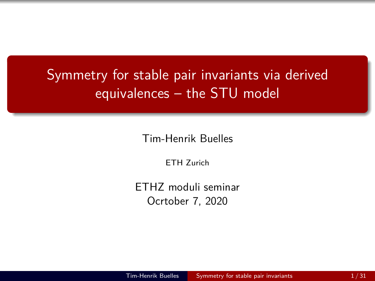# <span id="page-0-0"></span>Symmetry for stable pair invariants via derived equivalences – the STU model

Tim-Henrik Buelles

ETH Zurich

ETHZ moduli seminar Ocrtober 7, 2020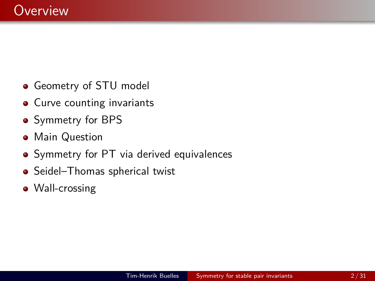- **Geometry of STU model**
- Curve counting invariants
- **•** Symmetry for BPS
- **•** Main Question
- Symmetry for PT via derived equivalences
- Seidel–Thomas spherical twist
- Wall-crossing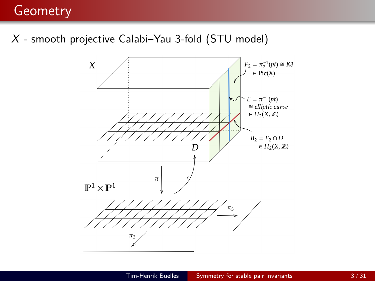### **Geometry**

X - smooth projective Calabi–Yau 3-fold (STU model)

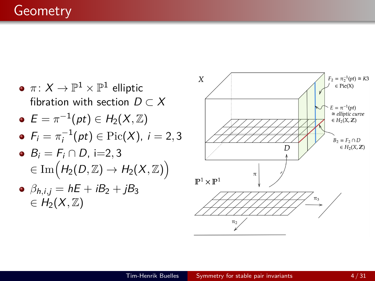$\pi\colon X\to \mathbb{P}^1\times \mathbb{P}^1$  elliptic fibration with section  $D \subset X$  $E = \pi^{-1}(pt) \in H_2(X,\mathbb{Z})$  $F_i = \pi_i^{-1}(pt) \in Pic(X)$ ,  $i = 2, 3$  $B_i = F_i \cap D_i$ , i=2, 3  $\phi \in \mathrm{Im}\big(H_2(D,\mathbb{Z}) \to H_2(X,\mathbb{Z})\big).$  $\partial_{h,i,j} = hE + iB_2 + jB_3$  $\in H_2(X,\mathbb{Z})$ 

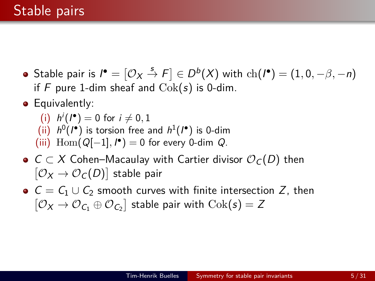- Stable pair is  $\boldsymbol{I}^\bullet = [\mathcal{O}_X \stackrel{s}{\to} F] \in D^b(X)$  with  $\mathrm{ch}(\boldsymbol{I}^\bullet) = (1,0,-\beta,-n)$ if F pure 1-dim sheaf and  $Cok(s)$  is 0-dim.
- **•** Equivalently:

(i) 
$$
h^i(I^{\bullet}) = 0
$$
 for  $i \neq 0, 1$ 

- (ii)  $h^0(I^{\bullet})$  is torsion free and  $h^1(I^{\bullet})$  is 0-dim
- (iii)  $\text{Hom}(Q[-1], I^{\bullet}) = 0$  for every 0-dim  $Q$ .
- $\bullet$  C ⊂ X Cohen–Macaulay with Cartier divisor  $\mathcal{O}_C(D)$  then  $[\mathcal{O}_X \to \mathcal{O}_C(D)]$  stable pair
- $C = C_1 \cup C_2$  smooth curves with finite intersection Z, then  $[ \mathcal{O}_X \to \mathcal{O}_{C_1} \oplus \mathcal{O}_{C_2} ]$  stable pair with  $\mathrm{Cok}(\mathfrak{s}) = Z$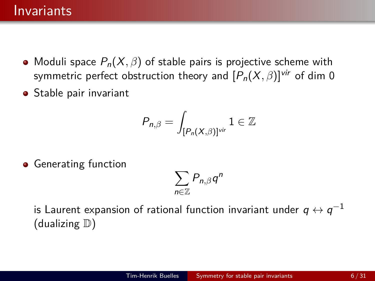#### **Invariants**

- Moduli space  $P_n(X, \beta)$  of stable pairs is projective scheme with symmetric perfect obstruction theory and  $[P_n(X, \beta)]^{vir}$  of dim 0
- **•** Stable pair invariant

$$
P_{n,\beta}=\int_{[P_n(X,\beta)]^{\text{vir}}}\mathbb{1}\in\mathbb{Z}
$$

**•** Generating function

$$
\sum_{n\in\mathbb{Z}}P_{n,\beta}q^n
$$

is Laurent expansion of rational function invariant under  $q\leftrightarrow q^{-1}$ (dualizing  $\mathbb{D}$ )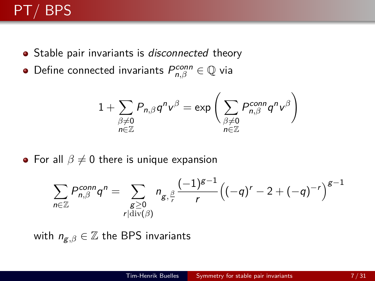# PT/ BPS

- Stable pair invariants is *disconnected* theory
- Define connected invariants  $P_{n, \beta}^{conn} \in {\mathbb Q}$  via

$$
1+\sum_{\substack{\beta\neq 0\\ n\in \mathbb{Z}}} P_{n,\beta} q^n \mathbf{v}^\beta = \exp\bigg(\sum_{\substack{\beta\neq 0\\ n\in \mathbb{Z}}} P_{n,\beta}^{conn} q^n \mathbf{v}^\beta\bigg)
$$

• For all  $\beta \neq 0$  there is unique expansion

$$
\sum_{n\in\mathbb{Z}} P_{n,\beta}^{conn} q^n = \sum_{\substack{g\geq 0\\r|\text{div}(\beta)}} n_{g,\frac{\beta}{r}} \frac{(-1)^{g-1}}{r} \Big((-q)^r - 2 + (-q)^{-r}\Big)^{g-1}
$$

with  $n_{\mathbf{g},\beta}\in\mathbb{Z}$  the BPS invariants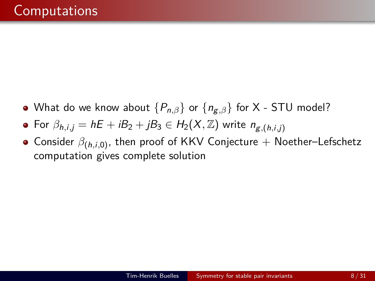- What do we know about {Pn*,β*} or {ng*,β*} for X STU model?
- For  $\beta_{h,i,j} = hE + iB_2 + jB_3 \in H_2(X,\mathbb{Z})$  write  $n_{\mathcal{L},(h,i,j)}$
- Consider *β*(h*,*i*,*0) , then proof of KKV Conjecture + Noether–Lefschetz computation gives complete solution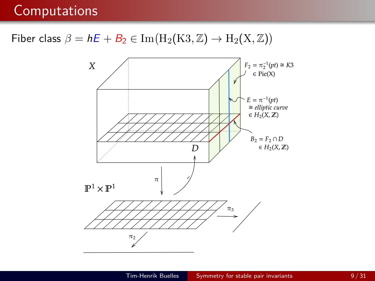### Fiber class  $\beta = hE + B_2 \in \text{Im}(\text{H}_2(\text{K3}, \mathbb{Z}) \to \text{H}_2(\text{X}, \mathbb{Z}))$

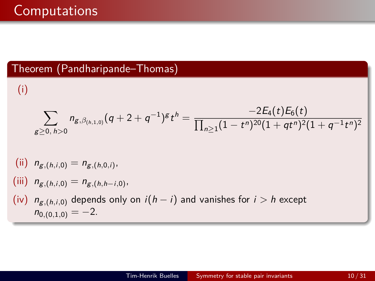#### Theorem (Pandharipande–Thomas)

(i)

$$
\sum_{g\geq 0,\ h>0}n_{g,\beta_{(h,1,0)}}(q+2+q^{-1})^gt^h=\frac{-2E_4(t)E_6(t)}{\prod_{n\geq 1} (1-t^n)^{20}(1+qt^n)^2(1+q^{-1}t^n)^2}
$$

(ii) 
$$
n_{g,(h,i,0)} = n_{g,(h,0,i)}
$$
,

(iii) 
$$
n_{g,(h,i,0)} = n_{g,(h,h-i,0)}
$$
,

(iv)  $n_{g,(h,i,0)}$  depends only on  $i(h - i)$  and vanishes for  $i > h$  except  $n_{0,(0,1,0)} = -2.$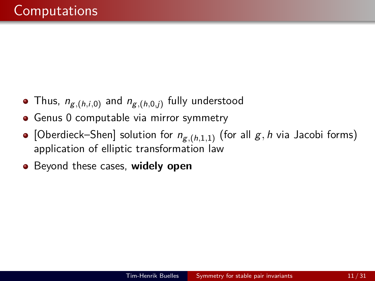- Thus, ng*,*(h*,*i*,*0) and ng*,*(h*,*0*,*j) fully understood
- Genus 0 computable via mirror symmetry
- [Oberdieck–Shen] solution for ng*,*(h*,*1*,*1) (for all g*,* h via Jacobi forms) application of elliptic transformation law
- Beyond these cases, **widely open**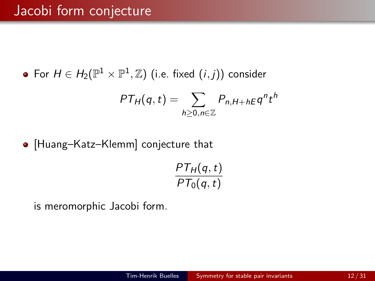For  $H\in H_2(\mathbb{P}^1\times \mathbb{P}^1,\mathbb{Z})$  (i.e. fixed  $(i,j))$  consider

$$
PT_H(q,t) = \sum_{h \geq 0, n \in \mathbb{Z}} P_{n,H+hE} q^n t^h
$$

[Huang–Katz–Klemm] conjecture that

$$
\frac{PT_H(q,t)}{PT_0(q,t)}
$$

is meromorphic Jacobi form.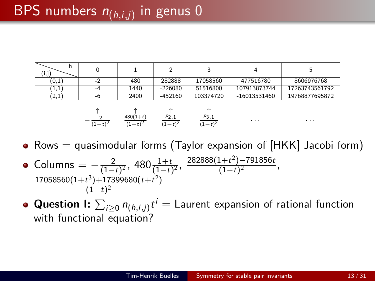| (i,j) |     |      |           |           |                |                |
|-------|-----|------|-----------|-----------|----------------|----------------|
| (0,1) | $-$ | 480  | 282888    | 17058560  | 477516780      | 8606976768     |
| 1,1)  | -4  | 1440 | $-226080$ | 51516800  | 107913873744   | 17263743561792 |
| (2,1) | -6  | 2400 | $-452160$ | 103374720 | $-16013531460$ | 19768877695872 |

$$
-\begin{matrix}\n\uparrow & \uparrow & \uparrow & \uparrow \\
\frac{2}{(1-t)^2} & \frac{480(1+t)}{(1-t)^2} & \frac{p_{2,1}}{(1-t)^2} & \frac{p_{3,1}}{(1-t)^2}\n\end{matrix}
$$

• Rows  $=$  quasimodular forms (Taylor expansion of  $[HKK]$  Jacobi form)

· · · · · ·

- Columns  $=-\frac{2}{1-z}$  $\frac{2}{(1-t)^2}$ , 480 $\frac{1+t}{(1-t)^2}$ ,  $\frac{282888(1+t^2)-791856t}{(1-t)^2}$  $\frac{(1+t^2)-191630t}{(1-t)^2}$ ,  $17058560(1+t^3)+17399680(t+t^2)$  $(1-t)^2$
- **Question I:**  $\sum_{i\geq 0} n_{(h,i,j)}t^i =$  Laurent expansion of rational function with functional equation?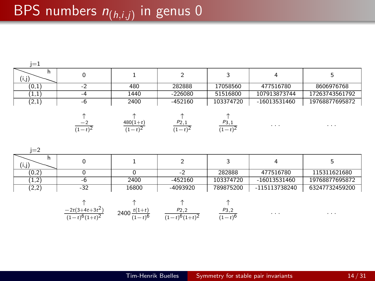# BPS numbers n(h*,*i*,*j) in genus 0

| $i=1$      |           |                         |                   |                       |                |                |
|------------|-----------|-------------------------|-------------------|-----------------------|----------------|----------------|
| h<br>(i,j) |           |                         |                   |                       |                | h              |
| (0,1)      |           | 480                     | 282888            | 17058560              | 477516780      | 8606976768     |
| (1,1)      | $-4$      | 1440                    | $-226080$         | 51516800              | 107913873744   | 17263743561792 |
| (2,1)      | -6        | 2400                    | $-452160$         | 103374720             | $-16013531460$ | 19768877695872 |
|            | $(1-t)^2$ | $480(1+t)$<br>$(1-t)^2$ | P2,1<br>$(1-t)^2$ | $P_3, 1$<br>$(1-t)^2$ | $\cdots$       | $\cdots$       |

| $=$   |       |       |           |           |                |                |
|-------|-------|-------|-----------|-----------|----------------|----------------|
| (i,j) |       |       |           |           |                |                |
| (0,2) |       |       | $-$       | 282888    | 477516780      | 115311621680   |
| 1,2   |       | 2400  | $-452160$ | 103374720 | $-16013531460$ | 19768877695872 |
| (2,2) | $-32$ | 16800 | -4093920  | 789875200 | -115113738240  | 63247732459200 |

↑ ↑ ↑ ↑ −2t(3+4t+3t 2 ) (1−t) 6(1+t) 2 2400 <sup>t</sup>(1+t) (1−t) 6 p2*,*2 (1−t) 6(1+t) 2 p3*,*2 (1−t) 6 · · · · · ·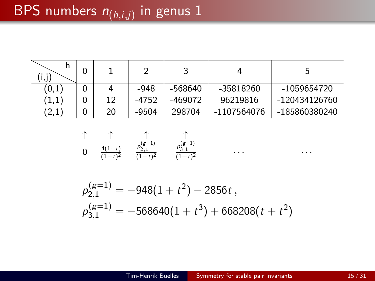| (i,j)          |    |         |         |             | ל             |
|----------------|----|---------|---------|-------------|---------------|
| (0,1)          |    | -948    | -568640 | -35818260   | -1059654720   |
| $^{\prime}1.1$ | 12 | $-4752$ | -469072 | 96219816    | -120434126760 |
| (2,1)          | 20 | -9504   | 298704  | -1107564076 | -185860380240 |

$$
\uparrow \qquad \uparrow \qquad \uparrow \qquad \uparrow \qquad \uparrow \n0 \qquad \frac{4(1+t)}{(1-t)^2} \qquad \frac{p_{2,1}^{(g=1)}}{(1-t)^2} \qquad \frac{p_{3,1}^{(g=1)}}{(1-t)^2}
$$

$$
\begin{aligned} &\mathcal{p}_{2,1}^{(g=1)}=-948(1+t^2)-2856\,t\,,\\ &\mathcal{p}_{3,1}^{(g=1)}=-568640(1+t^3)+668208(t+t^2) \end{aligned}
$$

· · · · · ·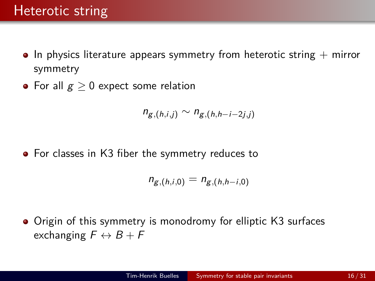- $\bullet$  In physics literature appears symmetry from heterotic string  $+$  mirror symmetry
- For all  $g > 0$  expect some relation

$$
n_{g,(h,i,j)} \sim n_{g,(h,h-i-2j,j)}
$$

For classes in K3 fiber the symmetry reduces to

$$
n_{g,(h,i,0)} = n_{g,(h,h-i,0)}
$$

Origin of this symmetry is monodromy for elliptic K3 surfaces exchanging  $F \leftrightarrow B + F$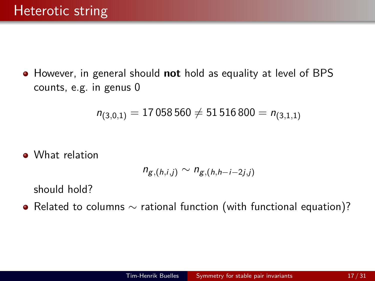However, in general should **not** hold as equality at level of BPS counts, e.g. in genus 0

$$
n_{(3,0,1)}=17\,058\,560\neq 51\,516\,800=n_{(3,1,1)}
$$

• What relation

$$
n_{g,(h,i,j)} \sim n_{g,(h,h-i-2j,j)}
$$

should hold?

Related to columns ∼ rational function (with functional equation)?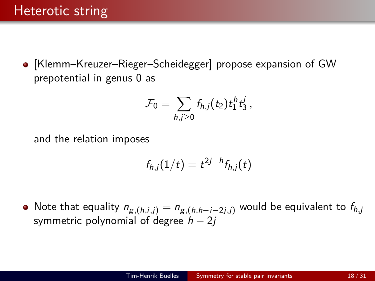[Klemm–Kreuzer–Rieger–Scheidegger] propose expansion of GW prepotential in genus 0 as

$$
\mathcal{F}_0=\sum_{h,j\geq 0}f_{h,j}(t_2)t_1^ht_3^j,
$$

and the relation imposes

$$
f_{h,j}(1/t) = t^{2j-h} f_{h,j}(t)
$$

 $\bullet$  Note that equality  $n_{g,(h,i,j)} = n_{g,(h,h-i-2j,j)}$  would be equivalent to  $f_{h,j}$ symmetric polynomial of degree  $h - 2j$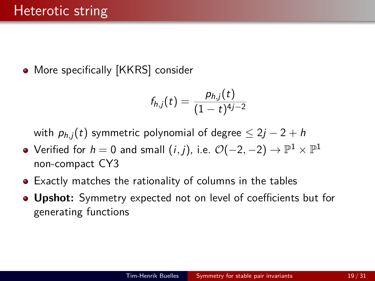• More specifically [KKRS] consider

$$
f_{h,j}(t) = \frac{p_{h,j}(t)}{(1-t)^{4j-2}}
$$

with  $p_{h,i}(t)$  symmetric polynomial of degree  $\leq 2j - 2 + h$ 

- Verified for  $h=0$  and small  $(i,j)$ , i.e.  $\mathcal O(-2,-2)\to \mathbb P^1\times \mathbb P^1$ non-compact CY3
- Exactly matches the rationality of columns in the tables
- **Upshot:** Symmetry expected not on level of coefficients but for generating functions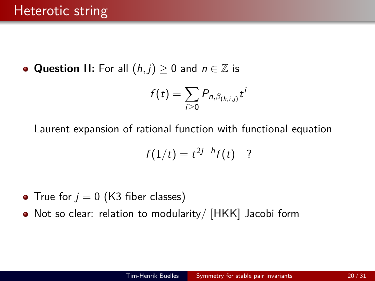**Question II:** For all  $(h, j) \geq 0$  and  $n \in \mathbb{Z}$  is

$$
f(t)=\sum_{i\geq 0}P_{n,\beta_{(h,i,j)}}t^i
$$

Laurent expansion of rational function with functional equation

$$
f(1/t)=t^{2j-h}f(t)
$$
?

- True for  $j = 0$  (K3 fiber classes)
- Not so clear: relation to modularity/ [HKK] Jacobi form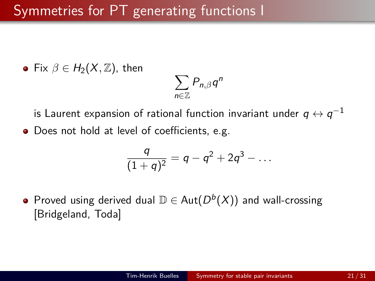• Fix  $\beta \in H_2(X, \mathbb{Z})$ , then

$$
\sum_{n\in\mathbb{Z}}P_{n,\beta}q^n
$$

is Laurent expansion of rational function invariant under  $q\leftrightarrow q^{-1}$ 

• Does not hold at level of coefficients, e.g.

$$
\frac{q}{(1+q)^2} = q - q^2 + 2q^3 - \dots
$$

Proved using derived dual  $\mathbb{D} \in \operatorname{\mathsf{Aut}}\nolimits(D^b(X))$  and wall-crossing [Bridgeland, Toda]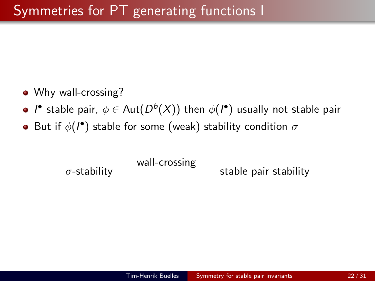- Why wall-crossing?
- $I^{\bullet}$  stable pair,  $\phi \in \operatorname{Aut}(D^b(X))$  then  $\phi(I^{\bullet})$  usually not stable pair
- But if *φ*(I ) stable for some (weak) stability condition *σ*

*σ*-stability ---------------- stable pair stability wall-crossing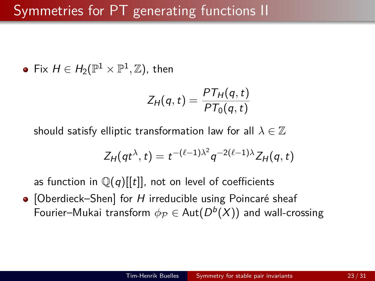Fix  $H \in H_2(\mathbb{P}^1 \times \mathbb{P}^1, \mathbb{Z})$ , then

$$
Z_H(q,t) = \frac{PT_H(q,t)}{PT_0(q,t)}
$$

should satisfy elliptic transformation law for all  $\lambda \in \mathbb{Z}$ 

$$
Z_H(qt^{\lambda},t)=t^{-(\ell-1)\lambda^2}q^{-2(\ell-1)\lambda}Z_H(q,t)
$$

as function in  $\mathbb{Q}(q)[[t]]$ , not on level of coefficients

 $\bullet$  [Oberdieck–Shen] for H irreducible using Poincaré sheaf Fourier–Mukai transform  $\phi_{\mathcal{P}} \in \operatorname{\mathsf{Aut}}\nolimits(D^b(X))$  and wall-crossing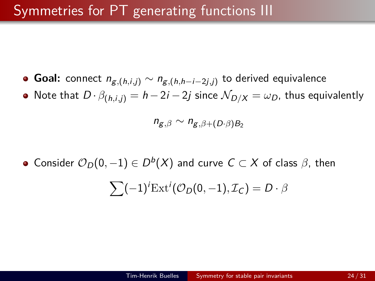- Goal: connect  $n_{\mathcal{g},(h,i,j)} \sim n_{\mathcal{g},(h,h-i-2j,j)}$  to derived equivalence
- Note that  $D \cdot \beta_{(h,i,j)} = h 2i 2j$  since  $\mathcal{N}_{D/X} = \omega_D$ , thus equivalently

$$
n_{g,\beta} \sim n_{g,\beta+(D\cdot\beta)B_2}
$$

Consider  $\mathcal{O}_D(0,-1)\in D^b(X)$  and curve  $C\subset X$  of class  $\beta$ , then

$$
\sum (-1)^{i} \text{Ext}^{i}(\mathcal{O}_{D}(0, -1), \mathcal{I}_{C}) = D \cdot \beta
$$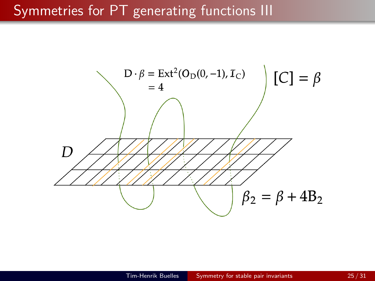### Symmetries for PT generating functions III

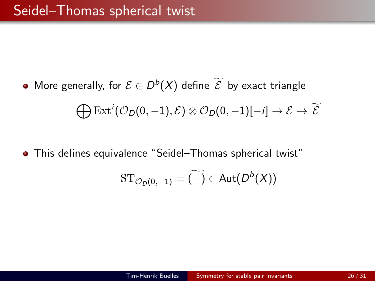- More generally, for  $\mathcal{E} \in D^b(X)$  define  $\mathcal{\overline{E}}$  by exact triangle  $\bigoplus \operatorname{Ext}^i(\mathcal{O}_D(0,-1), \mathcal{E}) \otimes \mathcal{O}_D(0,-1)[-i] \rightarrow \mathcal{E} \rightarrow \widetilde{\mathcal{E}}$
- This defines equivalence "Seidel–Thomas spherical twist"

$$
\mathrm{ST}_{\mathcal{O}_D(0,-1)}=\widetilde{(-)}\in \text{Aut}(D^b(X))
$$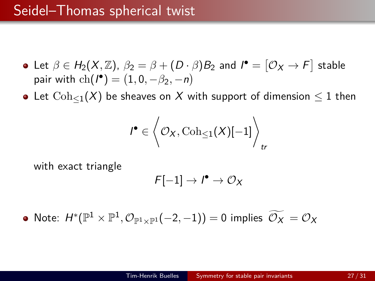- Let  $\beta \in H_2(X, \mathbb{Z})$ ,  $\beta_2 = \beta + (D \cdot \beta)B_2$  and  $I^{\bullet} = [\mathcal{O}_X \rightarrow F]$  stable pair with  $ch(I^{\bullet}) = (1, 0, -\beta_2, -n)$
- Let  $Coh_{\leq 1}(X)$  be sheaves on X with support of dimension  $\leq 1$  then

$$
\textbf{1}^{\bullet} \in \bigg\langle \mathcal{O}_X , \mathrm{Coh}_{\leq 1}(X)[-1] \bigg\rangle_{\text{tr}}
$$

with exact triangle

$$
\digamma[-1]\to\textit{I}^\bullet\to\mathcal{O}_X
$$

Note:  $H^*(\mathbb{P}^1 \times \mathbb{P}^1, \mathcal{O}_{\mathbb{P}^1 \times \mathbb{P}^1}(-2,-1)) = 0$  implies  $\widetilde{\mathcal{O}_X} = \mathcal{O}_X$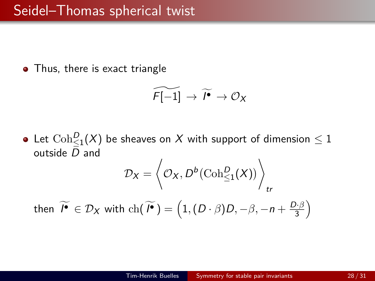• Thus, there is exact triangle

$$
\widetilde{F[-1]} \to \widetilde{I^{\bullet}} \to \mathcal{O}_X
$$

Let  $\mathrm{Coh}^D_{\leq 1}(X)$  be sheaves on  $X$  with support of dimension  $\leq 1$ outside D and

$$
\mathcal{D}_X = \left\langle \mathcal{O}_X, D^b(\mathrm{Coh}^D_{\leq 1}(X)) \right\rangle_{tr}
$$
  
then  $\widetilde{I^{\bullet}} \in \mathcal{D}_X$  with ch $(\widetilde{I^{\bullet}}) = (1, (D \cdot \beta)D, -\beta, -n + \frac{D \cdot \beta}{3})$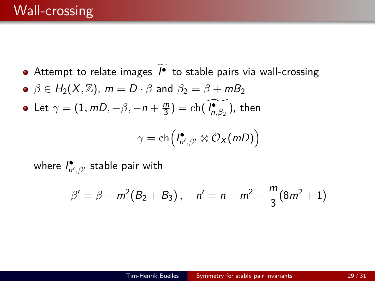- Attempt to relate images  $I^{\bullet}$  to stable pairs via wall-crossing
- $\beta \in H_2(X, \mathbb{Z})$ ,  $m = D \cdot \beta$  and  $\beta_2 = \beta + mB_2$
- Let  $\gamma = (1, mD, -\beta, -n + \frac{m}{3})$  $\frac{m}{3}) = \mathrm{ch}(\widetilde{\mathit{I}^{\bullet}_{n,\beta_{2}}})$ , then

$$
\gamma = \mathrm{ch}\left(I_{n',\beta'}^{\bullet} \otimes \mathcal{O}_X(mD)\right)
$$

where *I*•, β, stable pair with

$$
\beta' = \beta - m^2(B_2 + B_3), \quad n' = n - m^2 - \frac{m}{3}(8m^2 + 1)
$$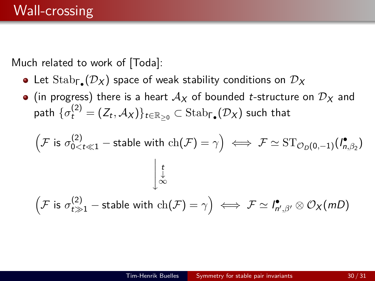Much related to work of [Toda]:

- Let  $\mathrm{Stab}_{\mathsf{F}_{\bullet}}(\mathcal{D}_X)$  space of weak stability conditions on  $\mathcal{D}_X$
- (in progress) there is a heart  $A_X$  of bounded *t*-structure on  $D_X$  and  $\textsf{path}~\{\sigma_t^{(2)}=(Z_t,\mathcal{A}_X)\}_{t\in\mathbb{R}_{\geq 0}}\subset \text{Stab}_{\Gamma_\bullet}(\mathcal{D}_X)$  such that

$$
\left(\mathcal{F} \text{ is } \sigma_{0 < t \ll 1}^{(2)} - \text{stable with ch}(\mathcal{F}) = \gamma\right) \iff \mathcal{F} \simeq \text{ST}_{\mathcal{O}_D(0, -1)}(I_{n, \beta_2}^{\bullet})
$$
\n
$$
\downarrow \downarrow
$$
\n
$$
\left(\mathcal{F} \text{ is } \sigma_{t \gg 1}^{(2)} - \text{stable with ch}(\mathcal{F}) = \gamma\right) \iff \mathcal{F} \simeq I_{n', \beta'}^{\bullet} \otimes \mathcal{O}_X(mD)
$$